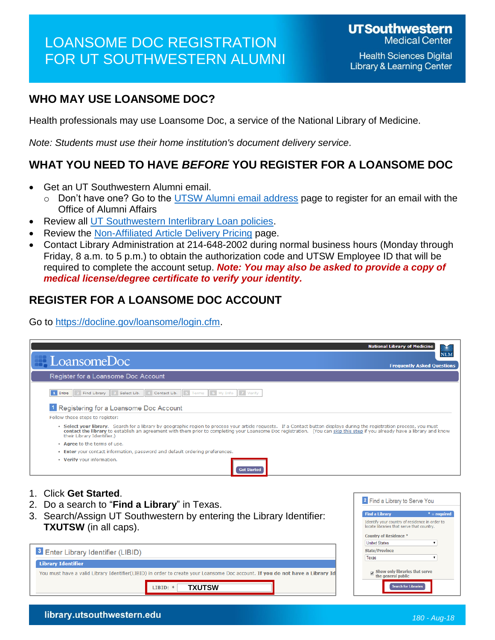# LOANSOME DOC REGISTRATION FOR UT SOUTHWESTERN ALUMNI

### **WHO MAY USE LOANSOME DOC?**

Health professionals may use Loansome Doc, a service of the National Library of Medicine.

*Note: Students must use their home institution's document delivery service.*

### **WHAT YOU NEED TO HAVE** *BEFORE* **YOU REGISTER FOR A LOANSOME DOC**

- Get an UT Southwestern Alumni email.
	- $\circ$  Don't have one? Go to the [UTSW Alumni email address](http://library.utsouthwestern.edu/main/portals/jpull2.aspx?9735) page to register for an email with the Office of Alumni Affairs
- Review all [UT Southwestern Interlibrary Loan policies.](https://illiad.swmed.org/illiad/policies.html)
- Review the [Non-Affiliated Article Delivery Pricing](http://library.utsouthwestern.edu/main/portals/jpull2.aspx?9737) page.
- Contact Library Administration at 214-648-2002 during normal business hours (Monday through Friday, 8 a.m. to 5 p.m.) to obtain the authorization code and UTSW Employee ID that will be required to complete the account setup. *Note: You may also be asked to provide a copy of medical license/degree certificate to verify your identity.*

### **REGISTER FOR A LOANSOME DOC ACCOUNT**

Go to [https://docline.gov/loansome/login.cfm.](https://docline.gov/loansome/login.cfm)

|                                                                                                                                                                                                                                                                                                                                                                                       | <b>National Library of Medicine</b>      |
|---------------------------------------------------------------------------------------------------------------------------------------------------------------------------------------------------------------------------------------------------------------------------------------------------------------------------------------------------------------------------------------|------------------------------------------|
| $\blacksquare$ LoansomeDoc                                                                                                                                                                                                                                                                                                                                                            | <b>NLM</b>                               |
|                                                                                                                                                                                                                                                                                                                                                                                       | <b>Frequently Asked Questions</b>        |
| Register for a Loansome Doc Account                                                                                                                                                                                                                                                                                                                                                   |                                          |
| 5 Terms 6 My Info 7 Verify<br>Select Lib.<br>Contact Lib.<br>Find Library<br>1 Intro                                                                                                                                                                                                                                                                                                  |                                          |
| <sup>1</sup> Registering for a Loansome Doc Account                                                                                                                                                                                                                                                                                                                                   |                                          |
| Follow these steps to register:                                                                                                                                                                                                                                                                                                                                                       |                                          |
| • Select vour library. Search for a library by geographic region to process your article requests. If a Contact button displays during the registration process, you must<br>contact the library to establish an agreement with them prior to completing your Loansome Doc registration. (You can skip this step if you already have a library and know<br>their Library Identifier.) |                                          |
| • Agree to the terms of use.                                                                                                                                                                                                                                                                                                                                                          |                                          |
| . Enter your contact information, password and default ordering preferences.                                                                                                                                                                                                                                                                                                          |                                          |
| • Verify your information.<br><b>Set Started</b>                                                                                                                                                                                                                                                                                                                                      |                                          |
|                                                                                                                                                                                                                                                                                                                                                                                       |                                          |
| 1. Click Get Started.                                                                                                                                                                                                                                                                                                                                                                 |                                          |
|                                                                                                                                                                                                                                                                                                                                                                                       | <sup>2</sup> Find a Library to Serve You |
| Do a search to " <b>Find a Library</b> " in Texas.                                                                                                                                                                                                                                                                                                                                    |                                          |
| Coarab/Acoian LIT Couthwestern by ontering the Library Identifier                                                                                                                                                                                                                                                                                                                     | <b>Find a Library</b><br>$* = required$  |

3. Search/Assign UT Southwestern by entering the Library Identifier: **TXUTSW** (in all caps).

You must have a valid Library Identifier(LIBID) in order to create your Loansome Doc account. If you do not have a Library Id

LIBID:  $*$ 

**TXUTSW**

| <b>Find a Library</b>                                                                       | $* = required$ |
|---------------------------------------------------------------------------------------------|----------------|
| Identify your country of residence in order to<br>locate libraries that serve that country. |                |
| <b>Country of Residence *</b>                                                               |                |
| <b>United States</b>                                                                        |                |
| <b>State/Province</b>                                                                       |                |
| Texas                                                                                       |                |

<sup>3</sup> Enter Library Identifier (LIBID)

**Library Identifier**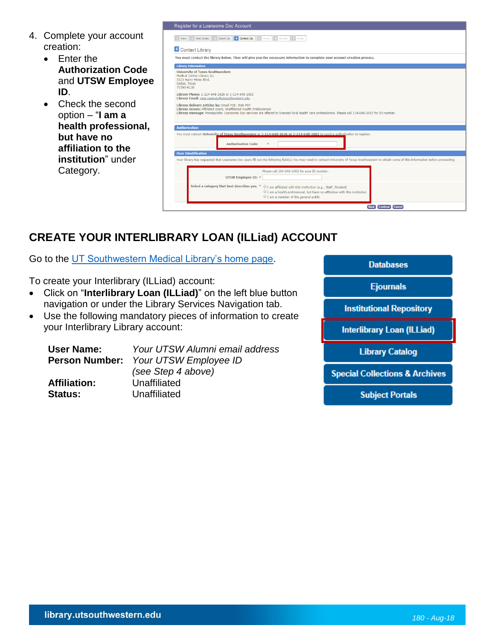- 4. Complete your account creation:
	- Enter the **Authorization Code** and **UTSW Employee ID**.
	- Check the second option – "**I am a health professional, but have no affiliation to the institution**" under Category.

| 4 Contact Lib. 5 Terms 6 My Info 7 Verify<br>Find Library<br>Select Lib.<br>Intro   |                                                                                                                                                                                                                                                                                  |  |  |
|-------------------------------------------------------------------------------------|----------------------------------------------------------------------------------------------------------------------------------------------------------------------------------------------------------------------------------------------------------------------------------|--|--|
| 4 Contact Library                                                                   |                                                                                                                                                                                                                                                                                  |  |  |
|                                                                                     | You must contact the library below. They will give you the necessary information to complete your account creation process.                                                                                                                                                      |  |  |
| <b>Library Information</b>                                                          |                                                                                                                                                                                                                                                                                  |  |  |
| Medical Center Library ILL<br>5323 Harry Hines Blvd.<br>Dallas, Texas<br>75390-9138 | <b>University of Texas Southwestern</b><br>Library Phone: 1-214-648-2626 or 1-214-648-2002<br>Library Email: rosa.vasquez@utsouthwestern.edu                                                                                                                                     |  |  |
|                                                                                     | Library delivers articles by: Email PDF, Web PDF<br>Library serves: Affiliated Users, Unaffiliated Health Professionals<br>Library message: Prerequisite: Loansome Doc services are offered to licensed local health care professionals. Please call 214-648-2002 for ID number. |  |  |
|                                                                                     | You must contact University of Texas Southwestern at 1-214-648-2626 or 1-214-648-2002 to receive authorization to register.                                                                                                                                                      |  |  |
|                                                                                     | <b>Authorization Code:</b><br>$\ast$                                                                                                                                                                                                                                             |  |  |
|                                                                                     |                                                                                                                                                                                                                                                                                  |  |  |
|                                                                                     |                                                                                                                                                                                                                                                                                  |  |  |
| <b>Authorization</b><br><b>User Identification</b>                                  | Your library has requested that Loansome Doc users fill out the following field(s). You may need to contact University of Texas Southwestern to obtain some of this information before proceeding.<br>Please call 214-648-2002 for your ID number.<br><b>UTSW Employee ID: *</b> |  |  |

## **CREATE YOUR INTERLIBRARY LOAN (ILLiad) ACCOUNT**

Go to the [UT Southwestern Medical Library's home page.](http://library.utsouthwestern.edu/main/)

To create your Interlibrary (ILLiad) account:

- Click on "**Interlibrary Loan (ILLiad)**" on the left blue button navigation or under the Library Services Navigation tab.
- Use the following mandatory pieces of information to create your Interlibrary Library account:

| User Name:          | Your UTSW Alumni email address<br>Person Number: Your UTSW Employee ID |
|---------------------|------------------------------------------------------------------------|
|                     | (see Step 4 above)                                                     |
| <b>Affiliation:</b> | Unaffiliated                                                           |
| <b>Status:</b>      | Unaffiliated                                                           |